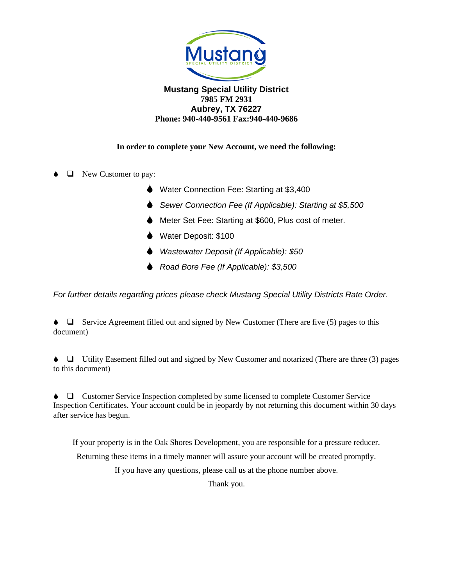

#### **Mustang Special Utility District 7985 FM 2931 Aubrey, TX 76227 Phone: 940-440-9561 Fax:940-440-9686**

### **In order to complete your New Account, we need the following:**

- ❑ New Customer to pay:
	- **●** Water Connection Fee: Starting at \$3,400
	- *Sewer Connection Fee (If Applicable): Starting at \$5,500*
	- Meter Set Fee: Starting at \$600, Plus cost of meter.
	- Water Deposit: \$100
	- *Wastewater Deposit (If Applicable): \$50*
	- *Road Bore Fee (If Applicable): \$3,500*

*For further details regarding prices please check Mustang Special Utility Districts Rate Order.*

 $\bullet$   $\Box$  Service Agreement filled out and signed by New Customer (There are five (5) pages to this document)

 ❑ Utility Easement filled out and signed by New Customer and notarized (There are three (3) pages to this document)

 ❑ Customer Service Inspection completed by some licensed to complete Customer Service Inspection Certificates. Your account could be in jeopardy by not returning this document within 30 days after service has begun.

If your property is in the Oak Shores Development, you are responsible for a pressure reducer. Returning these items in a timely manner will assure your account will be created promptly. If you have any questions, please call us at the phone number above.

Thank you.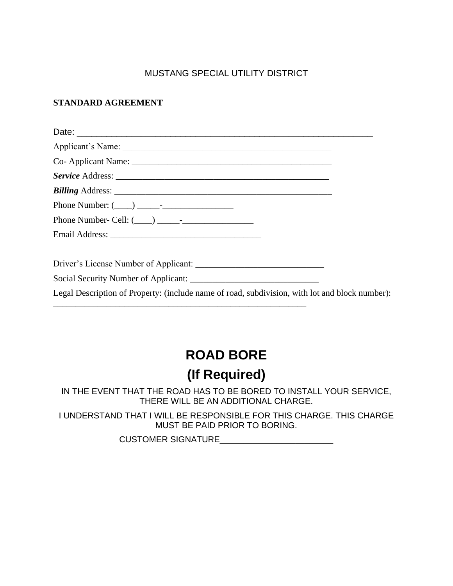## MUSTANG SPECIAL UTILITY DISTRICT

## **STANDARD AGREEMENT**

| Legal Description of Property: (include name of road, subdivision, with lot and block number): |  |
|------------------------------------------------------------------------------------------------|--|

## **ROAD BORE**

# **(If Required)**

IN THE EVENT THAT THE ROAD HAS TO BE BORED TO INSTALL YOUR SERVICE, THERE WILL BE AN ADDITIONAL CHARGE.

I UNDERSTAND THAT I WILL BE RESPONSIBLE FOR THIS CHARGE. THIS CHARGE MUST BE PAID PRIOR TO BORING.

CUSTOMER SIGNATURE\_\_\_\_\_\_\_\_\_\_\_\_\_\_\_\_\_\_\_\_\_\_\_\_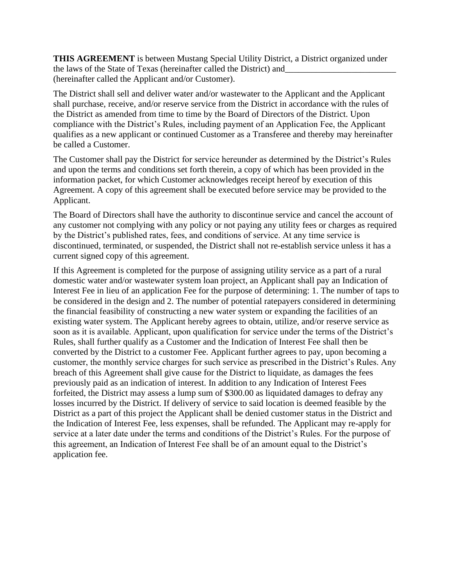**THIS AGREEMENT** is between Mustang Special Utility District, a District organized under the laws of the State of Texas (hereinafter called the District) and (hereinafter called the Applicant and/or Customer).

The District shall sell and deliver water and/or wastewater to the Applicant and the Applicant shall purchase, receive, and/or reserve service from the District in accordance with the rules of the District as amended from time to time by the Board of Directors of the District. Upon compliance with the District's Rules, including payment of an Application Fee, the Applicant qualifies as a new applicant or continued Customer as a Transferee and thereby may hereinafter be called a Customer.

The Customer shall pay the District for service hereunder as determined by the District's Rules and upon the terms and conditions set forth therein, a copy of which has been provided in the information packet, for which Customer acknowledges receipt hereof by execution of this Agreement. A copy of this agreement shall be executed before service may be provided to the Applicant.

The Board of Directors shall have the authority to discontinue service and cancel the account of any customer not complying with any policy or not paying any utility fees or charges as required by the District's published rates, fees, and conditions of service. At any time service is discontinued, terminated, or suspended, the District shall not re-establish service unless it has a current signed copy of this agreement.

If this Agreement is completed for the purpose of assigning utility service as a part of a rural domestic water and/or wastewater system loan project, an Applicant shall pay an Indication of Interest Fee in lieu of an application Fee for the purpose of determining: 1. The number of taps to be considered in the design and 2. The number of potential ratepayers considered in determining the financial feasibility of constructing a new water system or expanding the facilities of an existing water system. The Applicant hereby agrees to obtain, utilize, and/or reserve service as soon as it is available. Applicant, upon qualification for service under the terms of the District's Rules, shall further qualify as a Customer and the Indication of Interest Fee shall then be converted by the District to a customer Fee. Applicant further agrees to pay, upon becoming a customer, the monthly service charges for such service as prescribed in the District's Rules. Any breach of this Agreement shall give cause for the District to liquidate, as damages the fees previously paid as an indication of interest. In addition to any Indication of Interest Fees forfeited, the District may assess a lump sum of \$300.00 as liquidated damages to defray any losses incurred by the District. If delivery of service to said location is deemed feasible by the District as a part of this project the Applicant shall be denied customer status in the District and the Indication of Interest Fee, less expenses, shall be refunded. The Applicant may re-apply for service at a later date under the terms and conditions of the District's Rules. For the purpose of this agreement, an Indication of Interest Fee shall be of an amount equal to the District's application fee.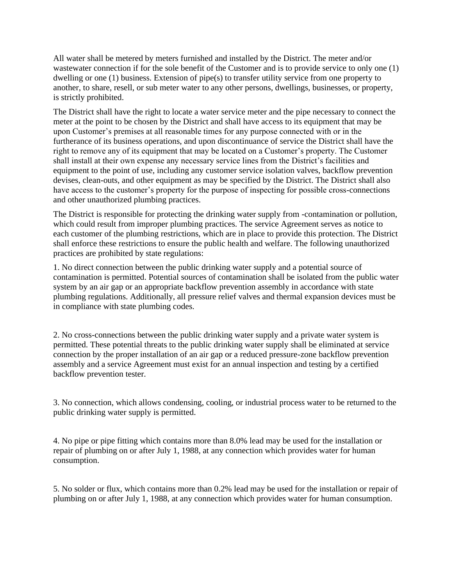All water shall be metered by meters furnished and installed by the District. The meter and/or wastewater connection if for the sole benefit of the Customer and is to provide service to only one (1) dwelling or one (1) business. Extension of pipe(s) to transfer utility service from one property to another, to share, resell, or sub meter water to any other persons, dwellings, businesses, or property, is strictly prohibited.

The District shall have the right to locate a water service meter and the pipe necessary to connect the meter at the point to be chosen by the District and shall have access to its equipment that may be upon Customer's premises at all reasonable times for any purpose connected with or in the furtherance of its business operations, and upon discontinuance of service the District shall have the right to remove any of its equipment that may be located on a Customer's property. The Customer shall install at their own expense any necessary service lines from the District's facilities and equipment to the point of use, including any customer service isolation valves, backflow prevention devises, clean-outs, and other equipment as may be specified by the District. The District shall also have access to the customer's property for the purpose of inspecting for possible cross-connections and other unauthorized plumbing practices.

The District is responsible for protecting the drinking water supply from -contamination or pollution, which could result from improper plumbing practices. The service Agreement serves as notice to each customer of the plumbing restrictions, which are in place to provide this protection. The District shall enforce these restrictions to ensure the public health and welfare. The following unauthorized practices are prohibited by state regulations:

1. No direct connection between the public drinking water supply and a potential source of contamination is permitted. Potential sources of contamination shall be isolated from the public water system by an air gap or an appropriate backflow prevention assembly in accordance with state plumbing regulations. Additionally, all pressure relief valves and thermal expansion devices must be in compliance with state plumbing codes.

2. No cross-connections between the public drinking water supply and a private water system is permitted. These potential threats to the public drinking water supply shall be eliminated at service connection by the proper installation of an air gap or a reduced pressure-zone backflow prevention assembly and a service Agreement must exist for an annual inspection and testing by a certified backflow prevention tester.

3. No connection, which allows condensing, cooling, or industrial process water to be returned to the public drinking water supply is permitted.

4. No pipe or pipe fitting which contains more than 8.0% lead may be used for the installation or repair of plumbing on or after July 1, 1988, at any connection which provides water for human consumption.

5. No solder or flux, which contains more than 0.2% lead may be used for the installation or repair of plumbing on or after July 1, 1988, at any connection which provides water for human consumption.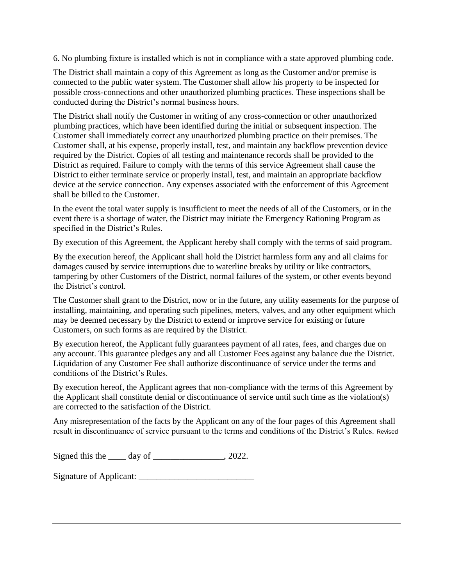6. No plumbing fixture is installed which is not in compliance with a state approved plumbing code.

The District shall maintain a copy of this Agreement as long as the Customer and/or premise is connected to the public water system. The Customer shall allow his property to be inspected for possible cross-connections and other unauthorized plumbing practices. These inspections shall be conducted during the District's normal business hours.

The District shall notify the Customer in writing of any cross-connection or other unauthorized plumbing practices, which have been identified during the initial or subsequent inspection. The Customer shall immediately correct any unauthorized plumbing practice on their premises. The Customer shall, at his expense, properly install, test, and maintain any backflow prevention device required by the District. Copies of all testing and maintenance records shall be provided to the District as required. Failure to comply with the terms of this service Agreement shall cause the District to either terminate service or properly install, test, and maintain an appropriate backflow device at the service connection. Any expenses associated with the enforcement of this Agreement shall be billed to the Customer.

In the event the total water supply is insufficient to meet the needs of all of the Customers, or in the event there is a shortage of water, the District may initiate the Emergency Rationing Program as specified in the District's Rules.

By execution of this Agreement, the Applicant hereby shall comply with the terms of said program.

By the execution hereof, the Applicant shall hold the District harmless form any and all claims for damages caused by service interruptions due to waterline breaks by utility or like contractors, tampering by other Customers of the District, normal failures of the system, or other events beyond the District's control.

The Customer shall grant to the District, now or in the future, any utility easements for the purpose of installing, maintaining, and operating such pipelines, meters, valves, and any other equipment which may be deemed necessary by the District to extend or improve service for existing or future Customers, on such forms as are required by the District.

By execution hereof, the Applicant fully guarantees payment of all rates, fees, and charges due on any account. This guarantee pledges any and all Customer Fees against any balance due the District. Liquidation of any Customer Fee shall authorize discontinuance of service under the terms and conditions of the District's Rules.

By execution hereof, the Applicant agrees that non-compliance with the terms of this Agreement by the Applicant shall constitute denial or discontinuance of service until such time as the violation(s) are corrected to the satisfaction of the District.

Any misrepresentation of the facts by the Applicant on any of the four pages of this Agreement shall result in discontinuance of service pursuant to the terms and conditions of the District's Rules. Revised

Signed this the \_\_\_\_\_ day of \_\_\_\_\_\_\_\_\_\_\_\_\_\_\_, 2022.

Signature of Applicant: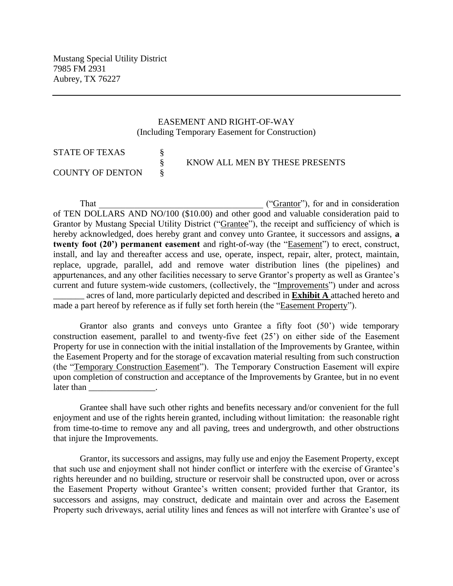#### EASEMENT AND RIGHT-OF-WAY (Including Temporary Easement for Construction)

| STATE OF TEXAS   |                                |
|------------------|--------------------------------|
|                  | KNOW ALL MEN BY THESE PRESENTS |
| COUNTY OF DENTON |                                |

That  $("Grantor"),$  for and in consideration of TEN DOLLARS AND NO/100 (\$10.00) and other good and valuable consideration paid to Grantor by Mustang Special Utility District ("Grantee"), the receipt and sufficiency of which is hereby acknowledged, does hereby grant and convey unto Grantee, it successors and assigns, **a twenty foot (20') permanent easement** and right-of-way (the "Easement") to erect, construct, install, and lay and thereafter access and use, operate, inspect, repair, alter, protect, maintain, replace, upgrade, parallel, add and remove water distribution lines (the pipelines) and appurtenances, and any other facilities necessary to serve Grantor's property as well as Grantee's current and future system-wide customers, (collectively, the "Improvements") under and across \_\_\_\_\_\_\_ acres of land, more particularly depicted and described in **Exhibit A** attached hereto and made a part hereof by reference as if fully set forth herein (the "Easement Property").

Grantor also grants and conveys unto Grantee a fifty foot (50') wide temporary construction easement, parallel to and twenty-five feet (25') on either side of the Easement Property for use in connection with the initial installation of the Improvements by Grantee, within the Easement Property and for the storage of excavation material resulting from such construction (the "Temporary Construction Easement"). The Temporary Construction Easement will expire upon completion of construction and acceptance of the Improvements by Grantee, but in no event later than

Grantee shall have such other rights and benefits necessary and/or convenient for the full enjoyment and use of the rights herein granted, including without limitation: the reasonable right from time-to-time to remove any and all paving, trees and undergrowth, and other obstructions that injure the Improvements.

Grantor, its successors and assigns, may fully use and enjoy the Easement Property, except that such use and enjoyment shall not hinder conflict or interfere with the exercise of Grantee's rights hereunder and no building, structure or reservoir shall be constructed upon, over or across the Easement Property without Grantee's written consent; provided further that Grantor, its successors and assigns, may construct, dedicate and maintain over and across the Easement Property such driveways, aerial utility lines and fences as will not interfere with Grantee's use of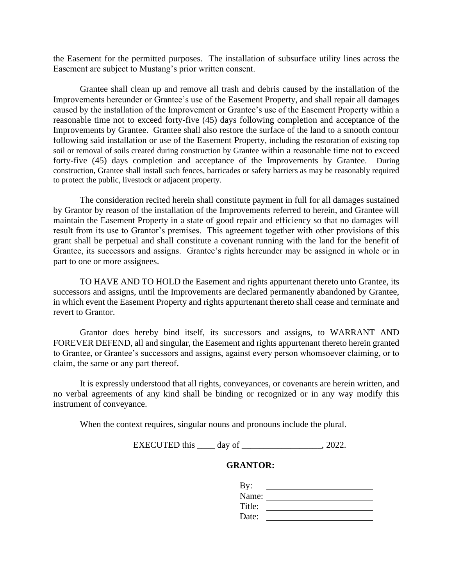the Easement for the permitted purposes. The installation of subsurface utility lines across the Easement are subject to Mustang's prior written consent.

Grantee shall clean up and remove all trash and debris caused by the installation of the Improvements hereunder or Grantee's use of the Easement Property, and shall repair all damages caused by the installation of the Improvement or Grantee's use of the Easement Property within a reasonable time not to exceed forty-five (45) days following completion and acceptance of the Improvements by Grantee. Grantee shall also restore the surface of the land to a smooth contour following said installation or use of the Easement Property, including the restoration of existing top soil or removal of soils created during construction by Grantee within a reasonable time not to exceed forty-five (45) days completion and acceptance of the Improvements by Grantee. During construction, Grantee shall install such fences, barricades or safety barriers as may be reasonably required to protect the public, livestock or adjacent property.

The consideration recited herein shall constitute payment in full for all damages sustained by Grantor by reason of the installation of the Improvements referred to herein, and Grantee will maintain the Easement Property in a state of good repair and efficiency so that no damages will result from its use to Grantor's premises. This agreement together with other provisions of this grant shall be perpetual and shall constitute a covenant running with the land for the benefit of Grantee, its successors and assigns. Grantee's rights hereunder may be assigned in whole or in part to one or more assignees.

TO HAVE AND TO HOLD the Easement and rights appurtenant thereto unto Grantee, its successors and assigns, until the Improvements are declared permanently abandoned by Grantee, in which event the Easement Property and rights appurtenant thereto shall cease and terminate and revert to Grantor.

Grantor does hereby bind itself, its successors and assigns, to WARRANT AND FOREVER DEFEND, all and singular, the Easement and rights appurtenant thereto herein granted to Grantee, or Grantee's successors and assigns, against every person whomsoever claiming, or to claim, the same or any part thereof.

It is expressly understood that all rights, conveyances, or covenants are herein written, and no verbal agreements of any kind shall be binding or recognized or in any way modify this instrument of conveyance.

When the context requires, singular nouns and pronouns include the plural.

EXECUTED this \_\_\_\_\_ day of \_\_\_\_\_\_\_\_\_\_\_\_\_\_\_\_\_\_, 2022.

#### **GRANTOR:**

| By:    |  |
|--------|--|
| Name:  |  |
| Title: |  |
| Date:  |  |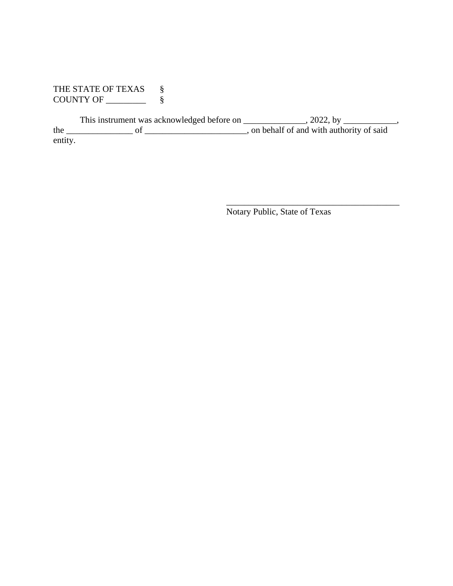THE STATE OF TEXAS  $\S$ COUNTY OF \_\_\_\_\_\_\_\_\_ §

This instrument was acknowledged before on \_\_\_\_\_\_\_\_\_\_\_\_, 2022, by \_\_\_\_\_\_\_\_\_\_, the \_\_\_\_\_\_\_\_\_\_\_\_\_\_\_ of \_\_\_\_\_\_\_\_\_\_\_\_\_\_\_\_\_\_\_\_\_\_\_, on behalf of and with authority of said entity.

Notary Public, State of Texas

\_\_\_\_\_\_\_\_\_\_\_\_\_\_\_\_\_\_\_\_\_\_\_\_\_\_\_\_\_\_\_\_\_\_\_\_\_\_\_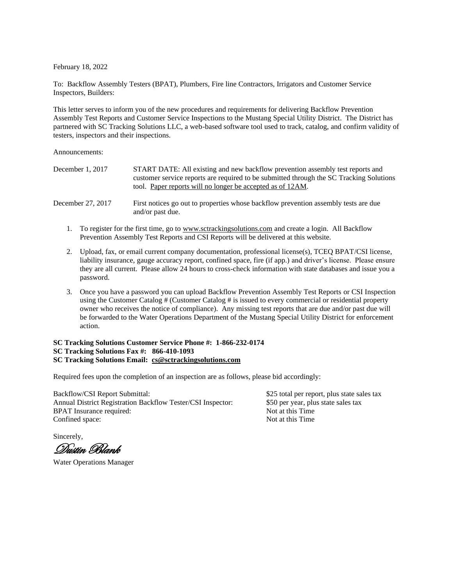February 18, 2022

To: Backflow Assembly Testers (BPAT), Plumbers, Fire line Contractors, Irrigators and Customer Service Inspectors, Builders:

This letter serves to inform you of the new procedures and requirements for delivering Backflow Prevention Assembly Test Reports and Customer Service Inspections to the Mustang Special Utility District. The District has partnered with SC Tracking Solutions LLC, a web-based software tool used to track, catalog, and confirm validity of testers, inspectors and their inspections.

Announcements:

| December $1, 2017$ | START DATE: All existing and new backflow prevention assembly test reports and<br>customer service reports are required to be submitted through the SC Tracking Solutions<br>tool. Paper reports will no longer be accepted as of 12AM. |
|--------------------|-----------------------------------------------------------------------------------------------------------------------------------------------------------------------------------------------------------------------------------------|
| December 27, 2017  | First notices go out to properties whose backflow prevention assembly tests are due<br>and/or past due.                                                                                                                                 |

- 1. To register for the first time, go to [www.sctrackingsolutions.com](http://www.sctrackingsolutions.com/) and create a login. All Backflow Prevention Assembly Test Reports and CSI Reports will be delivered at this website.
- 2. Upload, fax, or email current company documentation, professional license(s), TCEQ BPAT/CSI license, liability insurance, gauge accuracy report, confined space, fire (if app.) and driver's license. Please ensure they are all current. Please allow 24 hours to cross-check information with state databases and issue you a password.
- 3. Once you have a password you can upload Backflow Prevention Assembly Test Reports or CSI Inspection using the Customer Catalog # (Customer Catalog # is issued to every commercial or residential property owner who receives the notice of compliance). Any missing test reports that are due and/or past due will be forwarded to the Water Operations Department of the Mustang Special Utility District for enforcement action.

#### **SC Tracking Solutions Customer Service Phone #: 1-866-232-0174 SC Tracking Solutions Fax #: 866-410-1093 SC Tracking Solutions Email: [cs@sctrackingsolutions.com](mailto:cs@sctrackingsolutions.com)**

Required fees upon the completion of an inspection are as follows, please bid accordingly:

Backflow/CSI Report Submittal: \$25 total per report, plus state sales tax Annual District Registration Backflow Tester/CSI Inspector: \$50 per year, plus state sales tax<br>BPAT Insurance required: Not at this Time BPAT Insurance required: Not at this Time<br>
Confined space: Not at this Time<br>
Not at this Time Confined space:

Sincerely,

Dustin Blank

Water Operations Manager